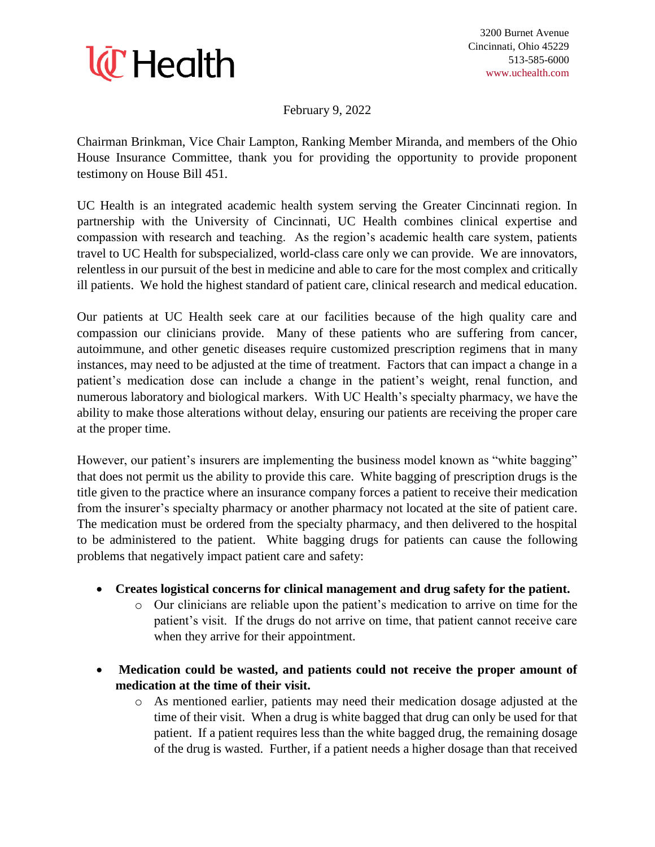

February 9, 2022

Chairman Brinkman, Vice Chair Lampton, Ranking Member Miranda, and members of the Ohio House Insurance Committee, thank you for providing the opportunity to provide proponent testimony on House Bill 451.

UC Health is an integrated academic health system serving the Greater Cincinnati region. In partnership with the University of Cincinnati, UC Health combines clinical expertise and compassion with research and teaching. As the region's academic health care system, patients travel to UC Health for subspecialized, world-class care only we can provide. We are innovators, relentless in our pursuit of the best in medicine and able to care for the most complex and critically ill patients. We hold the highest standard of patient care, clinical research and medical education.

Our patients at UC Health seek care at our facilities because of the high quality care and compassion our clinicians provide. Many of these patients who are suffering from cancer, autoimmune, and other genetic diseases require customized prescription regimens that in many instances, may need to be adjusted at the time of treatment. Factors that can impact a change in a patient's medication dose can include a change in the patient's weight, renal function, and numerous laboratory and biological markers. With UC Health's specialty pharmacy, we have the ability to make those alterations without delay, ensuring our patients are receiving the proper care at the proper time.

However, our patient's insurers are implementing the business model known as "white bagging" that does not permit us the ability to provide this care. White bagging of prescription drugs is the title given to the practice where an insurance company forces a patient to receive their medication from the insurer's specialty pharmacy or another pharmacy not located at the site of patient care. The medication must be ordered from the specialty pharmacy, and then delivered to the hospital to be administered to the patient. White bagging drugs for patients can cause the following problems that negatively impact patient care and safety:

- **Creates logistical concerns for clinical management and drug safety for the patient.**
	- o Our clinicians are reliable upon the patient's medication to arrive on time for the patient's visit. If the drugs do not arrive on time, that patient cannot receive care when they arrive for their appointment.
- **Medication could be wasted, and patients could not receive the proper amount of medication at the time of their visit.**
	- o As mentioned earlier, patients may need their medication dosage adjusted at the time of their visit. When a drug is white bagged that drug can only be used for that patient. If a patient requires less than the white bagged drug, the remaining dosage of the drug is wasted. Further, if a patient needs a higher dosage than that received